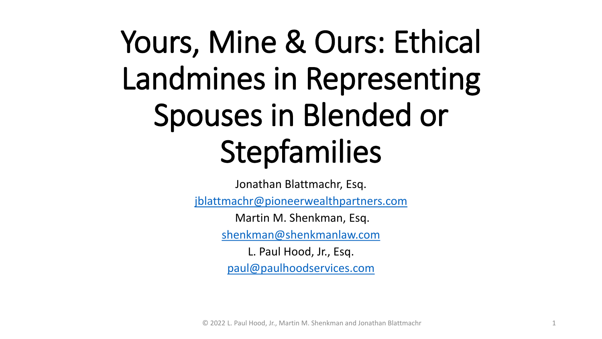# Yours, Mine & Ours: Ethical Landmines in Representing Spouses in Blended or Stepfamilies

Jonathan Blattmachr, Esq.

[jblattmachr@pioneerwealthpartners.com](mailto:jblattmachr@pioneerwealthpartners.com)

Martin M. Shenkman, Esq.

[shenkman@shenkmanlaw.com](mailto:shenkman@shenkmanlaw.com)

L. Paul Hood, Jr., Esq. [paul@paulhoodservices.com](mailto:paul@paulhoodservices.com)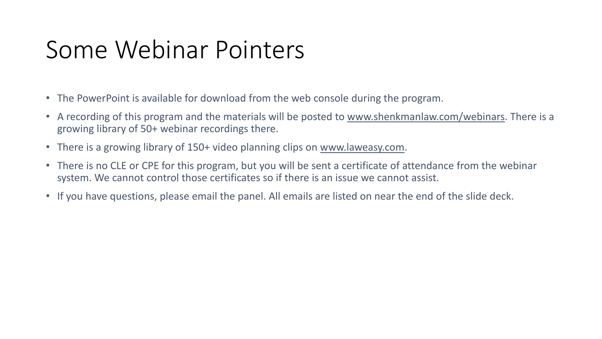### Some Webinar Pointers

- The PowerPoint is available for download from the web console during the program.
- A recording of this program and the materials will be posted to [www.shenkmanlaw.com/webinars.](http://www.shenkmanlaw.com/webinars) There is a growing library of 50+ webinar recordings there.
- There is a growing library of 150+ video planning clips on [www.laweasy.com](http://www.laweasy.com/).
- There is no CLE or CPE for this program, but you will be sent a certificate of attendance from the webinar system. We cannot control those certificates so if there is an issue we cannot assist.
- If you have questions, please email the panel. All emails are listed on near the end of the slide deck.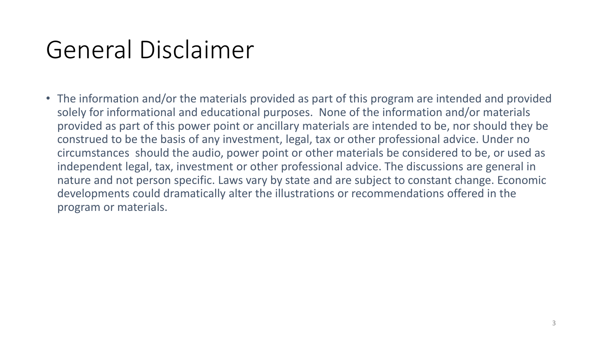### General Disclaimer

• The information and/or the materials provided as part of this program are intended and provided solely for informational and educational purposes. None of the information and/or materials provided as part of this power point or ancillary materials are intended to be, nor should they be construed to be the basis of any investment, legal, tax or other professional advice. Under no circumstances should the audio, power point or other materials be considered to be, or used as independent legal, tax, investment or other professional advice. The discussions are general in nature and not person specific. Laws vary by state and are subject to constant change. Economic developments could dramatically alter the illustrations or recommendations offered in the program or materials.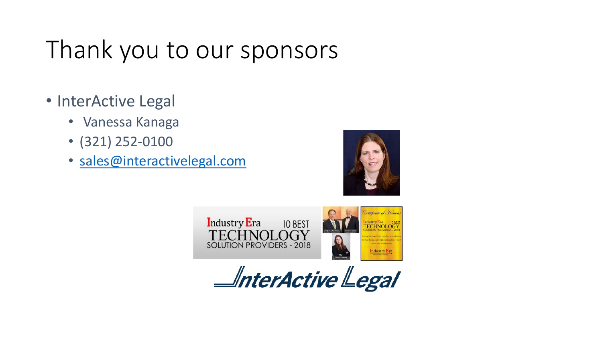### Thank you to our sponsors

- InterActive Legal
	- Vanessa Kanaga
	- (321) 252-0100
	- [sales@interactivelegal.com](mailto:sales@interactivelegal.com)





 $\triangle$ nterActive $\triangle$ egal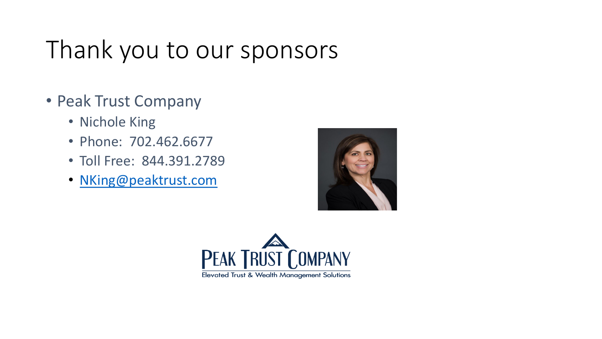### Thank you to our sponsors

- Peak Trust Company
	- Nichole King
	- Phone: 702.462.6677
	- Toll Free: 844.391.2789
	- [NKing@peaktrust.com](mailto:NKing@peaktrust.com)



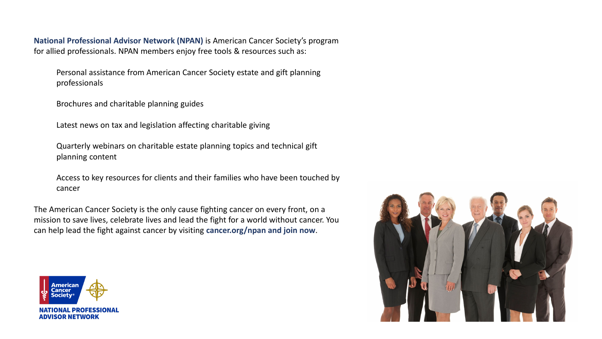**National Professional Advisor Network (NPAN)** is American Cancer Society's program for allied professionals. NPAN members enjoy free tools & resources such as:

Personal assistance from American Cancer Society estate and gift planning professionals

Brochures and charitable planning guides

Latest news on tax and legislation affecting charitable giving

Quarterly webinars on charitable estate planning topics and technical gift planning content

Access to key resources for clients and their families who have been touched by cancer

The American Cancer Society is the only cause fighting cancer on every front, on a mission to save lives, celebrate lives and lead the fight for a world without cancer. You can help lead the fight against cancer by visiting **cancer.org/npan and join now**.



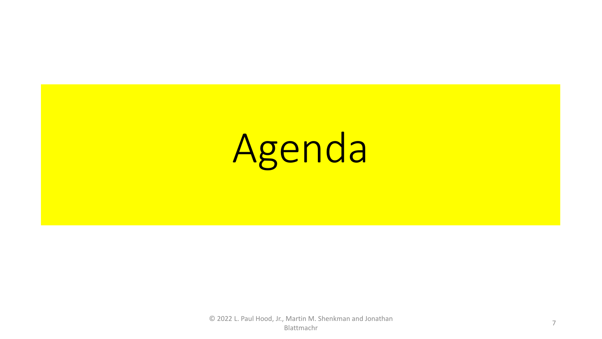# Agenda

© 2022 L. Paul Hood, Jr., Martin M. Shenkman and Jonathan Blattmachr 7 Den Maria Schuttland (1999)<br>Blattmachr 7 Den Maria Schuttland (1999)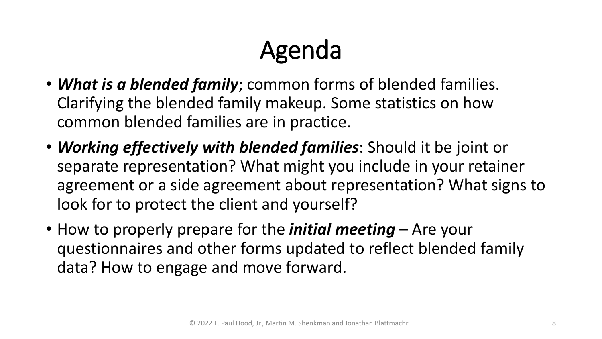### Agenda

- *What is a blended family*; common forms of blended families. Clarifying the blended family makeup. Some statistics on how common blended families are in practice.
- *Working effectively with blended families*: Should it be joint or separate representation? What might you include in your retainer agreement or a side agreement about representation? What signs to look for to protect the client and yourself?
- How to properly prepare for the *initial meeting* Are your questionnaires and other forms updated to reflect blended family data? How to engage and move forward.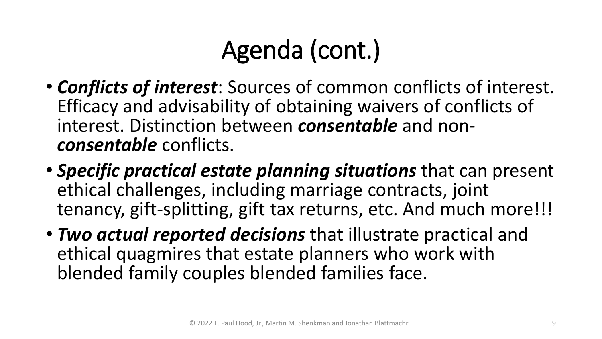### Agenda (cont.)

- *Conflicts of interest*: Sources of common conflicts of interest. Efficacy and advisability of obtaining waivers of conflicts of interest. Distinction between *consentable* and non- *consentable* conflicts.
- *Specific practical estate planning situations* that can present ethical challenges, including marriage contracts, joint tenancy, gift-splitting, gift tax returns, etc. And much more!!!
- *Two actual reported decisions* that illustrate practical and ethical quagmires that estate planners who work with blended family couples blended families face.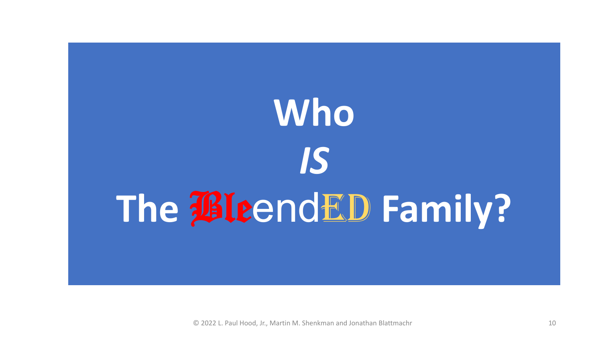# **Who**  *IS* **The BleendED Family?**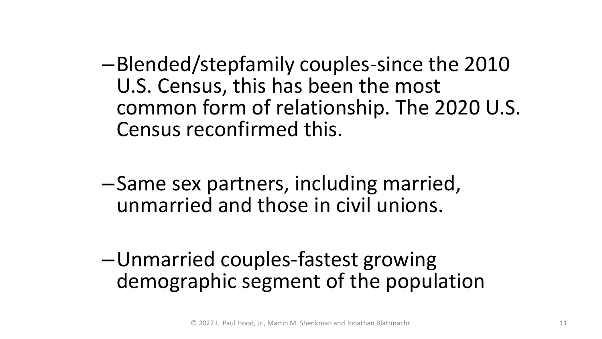–Blended/stepfamily couples-since the 2010 U.S. Census, this has been the most common form of relationship. The 2020 U.S. Census reconfirmed this.

–Same sex partners, including married, unmarried and those in civil unions.

–Unmarried couples-fastest growing demographic segment of the population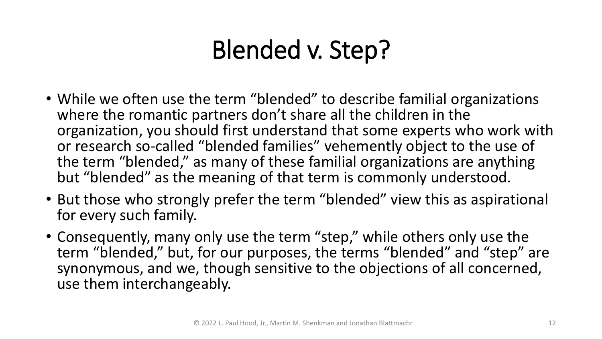### Blended v. Step?

- While we often use the term "blended" to describe familial organizations where the romantic partners don't share all the children in the organization, you should first understand that some experts who work with or research so-called "blended families" vehemently object to the use of the term "blended," as many of these familial organizations are anything but "blended" as the meaning of that term is commonly understood.
- But those who strongly prefer the term "blended" view this as aspirational for every such family.
- Consequently, many only use the term "step," while others only use the term "blended," but, for our purposes, the terms "blended" and "step" are synonymous, and we, though sensitive to the objections of all concerned, use them interchangeably.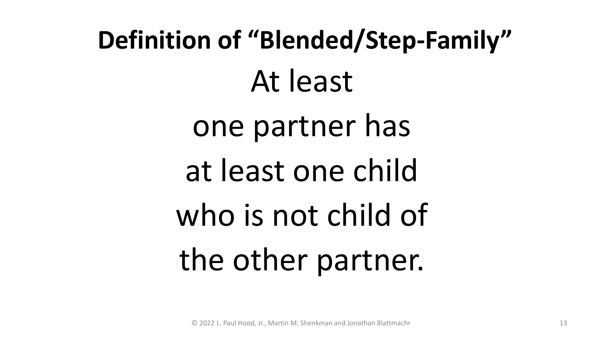# **Definition of "Blended/Step-Family"** At least one partner has at least one child who is not child of the other partner.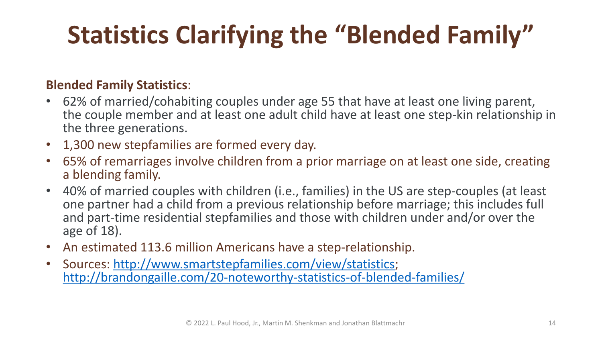# **Statistics Clarifying the "Blended Family"**

#### **Blended Family Statistics**:

- 62% of married/cohabiting couples under age 55 that have at least one living parent, the couple member and at least one adult child have at least one step-kin relationship in the three generations.
- 1,300 new stepfamilies are formed every day.
- 65% of remarriages involve children from a prior marriage on at least one side, creating a blending family.
- 40% of married couples with children (i.e., families) in the US are step-couples (at least one partner had a child from a previous relationship before marriage; this includes full and part-time residential stepfamilies and those with children under and/or over the age of 18).
- An estimated 113.6 million Americans have a step-relationship.
- Sources: [http://www.smartstepfamilies.com/view/statistics;](http://www.smartstepfamilies.com/view/statistics) <http://brandongaille.com/20-noteworthy-statistics-of-blended-families/>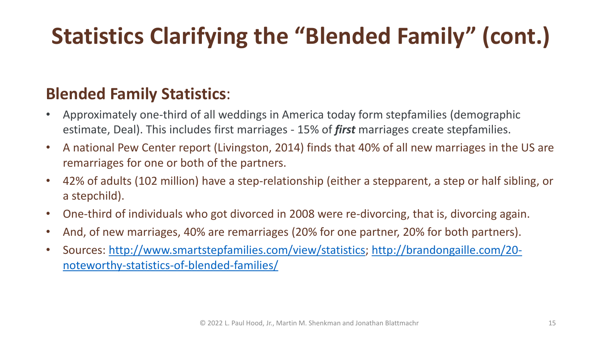### **Statistics Clarifying the "Blended Family" (cont.)**

#### **Blended Family Statistics**:

- Approximately one-third of all weddings in America today form stepfamilies (demographic estimate, Deal). This includes first marriages - 15% of *first* marriages create stepfamilies.
- A national Pew Center report (Livingston, 2014) finds that 40% of all new marriages in the US are remarriages for one or both of the partners.
- 42% of adults (102 million) have a step-relationship (either a stepparent, a step or half sibling, or a stepchild).
- One-third of individuals who got divorced in 2008 were re-divorcing, that is, divorcing again.
- And, of new marriages, 40% are remarriages (20% for one partner, 20% for both partners).
- [Sources: http://www.smartstepfamilies.com/view/statistics; http://brandongaille.com/20](http://brandongaille.com/20-noteworthy-statistics-of-blended-families/) noteworthy-statistics-of-blended-families/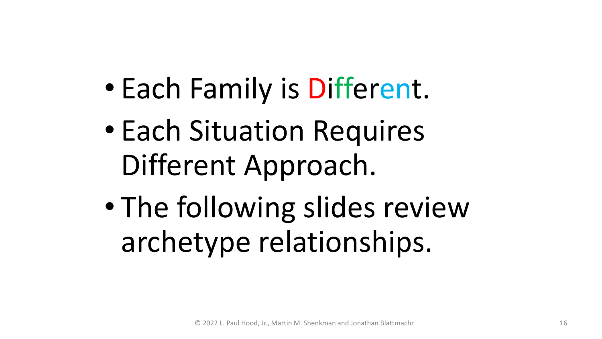- Each Family is Different.
- Each Situation Requires Different Approach.
- The following slides review archetype relationships.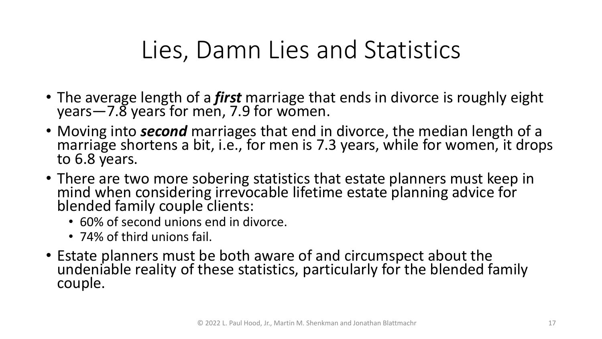### Lies, Damn Lies and Statistics

- The average length of a *first* marriage that ends in divorce is roughly eight years—7.8 years for men, 7.9 for women.
- Moving into *second* marriages that end in divorce, the median length of a marriage shortens a bit, i.e., for men is 7.3 years, while for women, it drops to 6.8 years.
- There are two more sobering statistics that estate planners must keep in mind when considering irrevocable lifetime estate planning advice for blended family couple clients:
	- 60% of second unions end in divorce.
	- 74% of third unions fail.
- Estate planners must be both aware of and circumspect about the undeniable reality of these statistics, particularly for the blended family couple.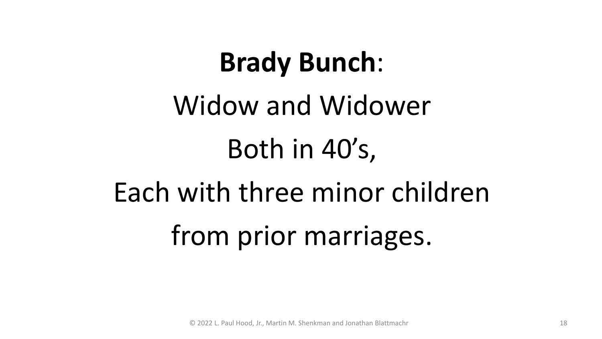# **Brady Bunch**:

# Widow and Widower Both in 40's, Each with three minor children from prior marriages.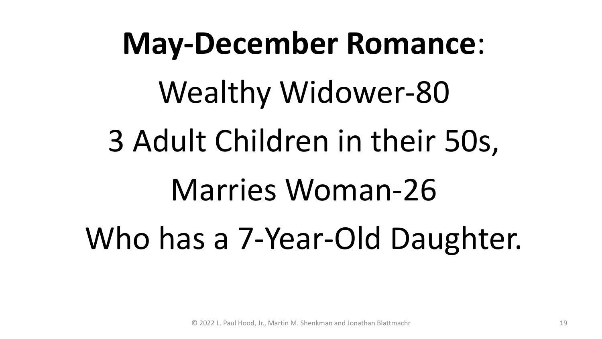# **May-December Romance**: Wealthy Widower-80 3 Adult Children in their 50s, Marries Woman-26 Who has a 7-Year-Old Daughter.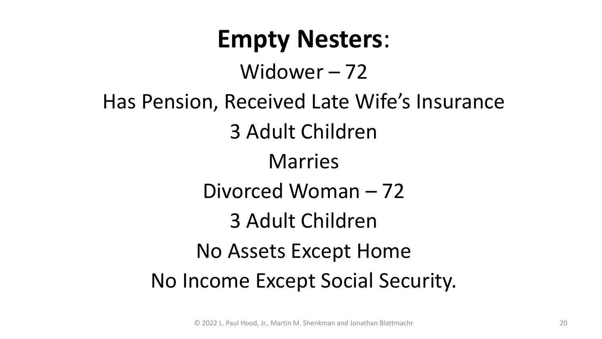### **Empty Nesters**:

Widower – 72

Has Pension, Received Late Wife's Insurance 3 Adult Children

### Marries

- Divorced Woman 72
	- 3 Adult Children

### No Assets Except Home

### No Income Except Social Security.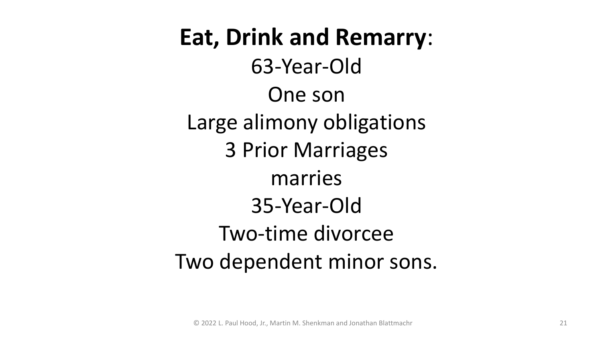**Eat, Drink and Remarry**: 63-Year-Old One son Large alimony obligations 3 Prior Marriages marries 35-Year-Old Two-time divorcee Two dependent minor sons.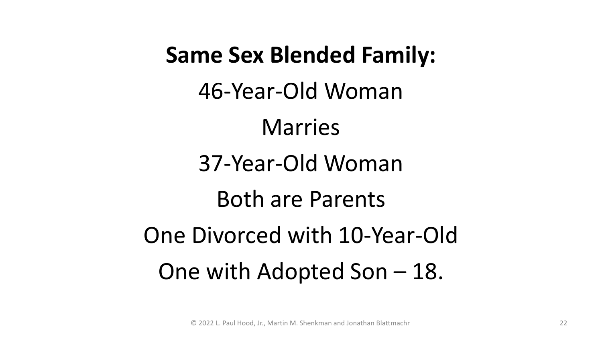### **Same Sex Blended Family:**

46-Year-Old Woman

Marries

### 37-Year-Old Woman

Both are Parents

One Divorced with 10-Year-Old One with Adopted Son – 18.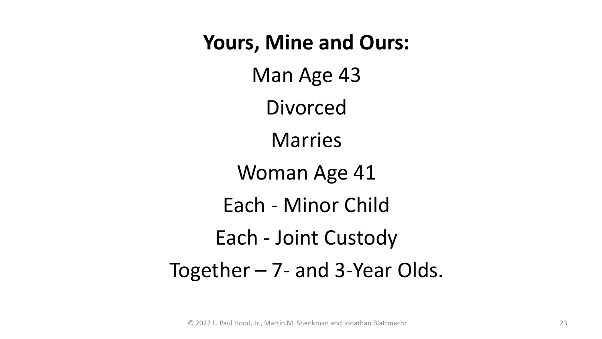**Yours, Mine and Ours:**  Man Age 43 Divorced Marries Woman Age 41 Each - Minor Child Each - Joint Custody Together – 7- and 3-Year Olds.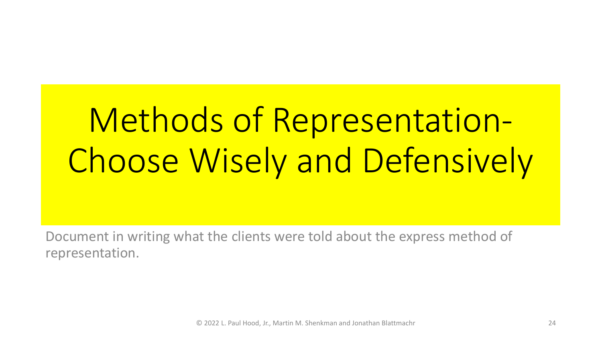# Methods of Representation-Choose Wisely and Defensively

Document in writing what the clients were told about the express method of representation.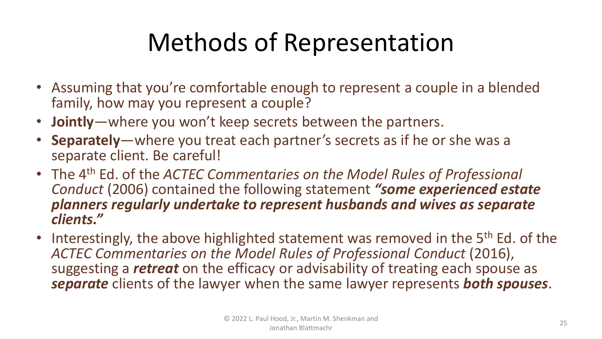### Methods of Representation

- Assuming that you're comfortable enough to represent a couple in a blended family, how may you represent a couple?
- **Jointly**—where you won't keep secrets between the partners.
- **Separately**—where you treat each partner's secrets as if he or she was a separate client. Be careful!
- The 4th Ed. of the *ACTEC Commentaries on the Model Rules of Professional Conduct* (2006) contained the following statement *"some experienced estate planners regularly undertake to represent husbands and wives as separate clients."*
- Interestingly, the above highlighted statement was removed in the 5<sup>th</sup> Ed. of the *ACTEC Commentaries on the Model Rules of Professional Conduct* (2016), suggesting a *retreat* on the efficacy or advisability of treating each spouse as *separate* clients of the lawyer when the same lawyer represents *both spouses*.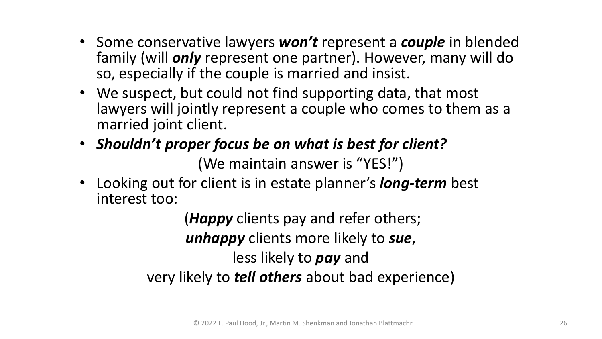- Some conservative lawyers *won't* represent a *couple* in blended family (will *only* represent one partner). However, many will do so, especially if the couple is married and insist.
- We suspect, but could not find supporting data, that most lawyers will jointly represent a couple who comes to them as a married joint client.
- *Shouldn't proper focus be on what is best for client?* (We maintain answer is "YES!")
- Looking out for client is in estate planner's *long-term* best interest too:

(*Happy* clients pay and refer others; *unhappy* clients more likely to *sue*, less likely to *pay* and very likely to *tell others* about bad experience)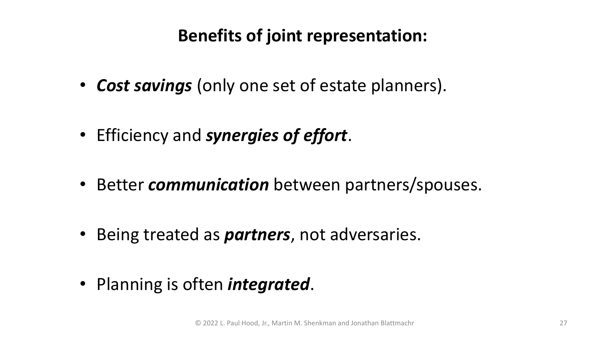#### **Benefits of joint representation:**

- *Cost savings* (only one set of estate planners).
- Efficiency and *synergies of effort*.
- Better *communication* between partners/spouses.
- Being treated as *partners*, not adversaries.
- Planning is often *integrated*.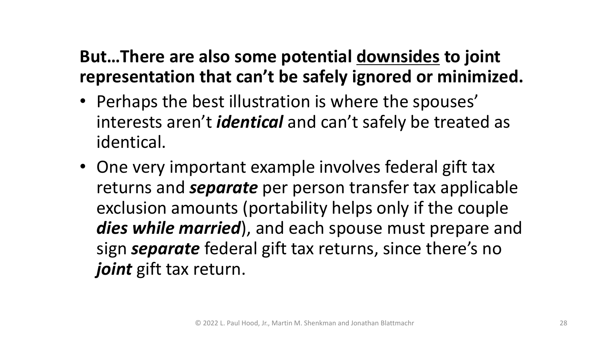#### **But…There are also some potential downsides to joint representation that can't be safely ignored or minimized.**

- Perhaps the best illustration is where the spouses' interests aren't *identical* and can't safely be treated as identical.
- One very important example involves federal gift tax returns and *separate* per person transfer tax applicable exclusion amounts (portability helps only if the couple *dies while married*), and each spouse must prepare and sign *separate* federal gift tax returns, since there's no *joint* gift tax return.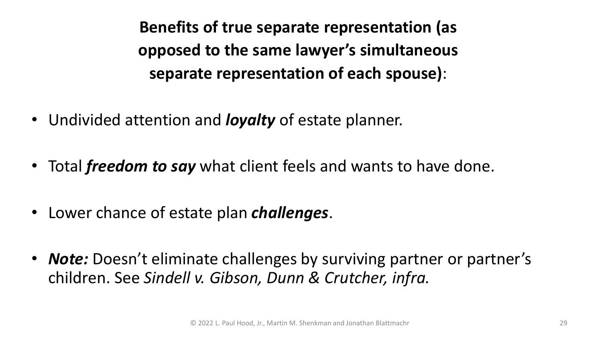**Benefits of true separate representation (as opposed to the same lawyer's simultaneous separate representation of each spouse)**:

- Undivided attention and *loyalty* of estate planner.
- Total *freedom to say* what client feels and wants to have done.
- Lower chance of estate plan *challenges*.
- *Note:* Doesn't eliminate challenges by surviving partner or partner's children. See *Sindell v. Gibson, Dunn & Crutcher, infra.*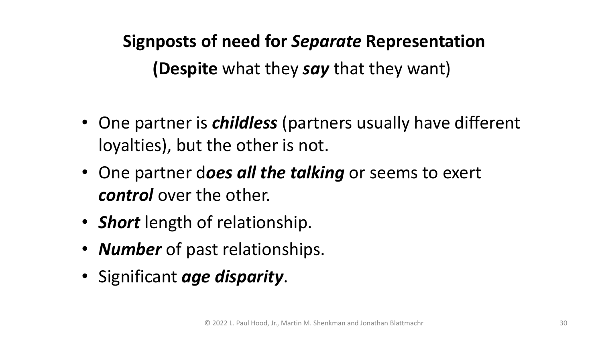**Signposts of need for** *Separate* **Representation (Despite** what they *say* that they want)

- One partner is *childless* (partners usually have different loyalties), but the other is not.
- One partner d*oes all the talking* or seems to exert *control* over the other.
- *Short* length of relationship.
- *Number* of past relationships.
- Significant *age disparity*.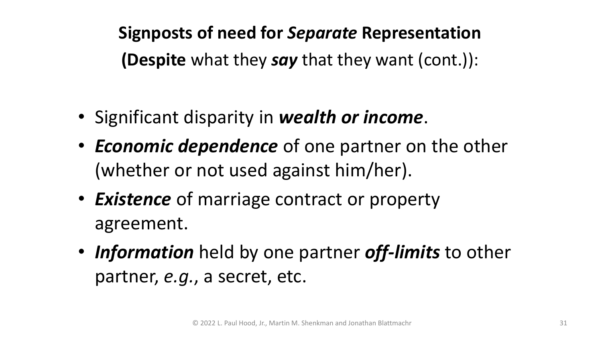**Signposts of need for** *Separate* **Representation (Despite** what they *say* that they want (cont.)):

- Significant disparity in *wealth or income*.
- *Economic dependence* of one partner on the other (whether or not used against him/her).
- *Existence* of marriage contract or property agreement.
- *Information* held by one partner *off-limits* to other partner, *e.g.*, a secret, etc.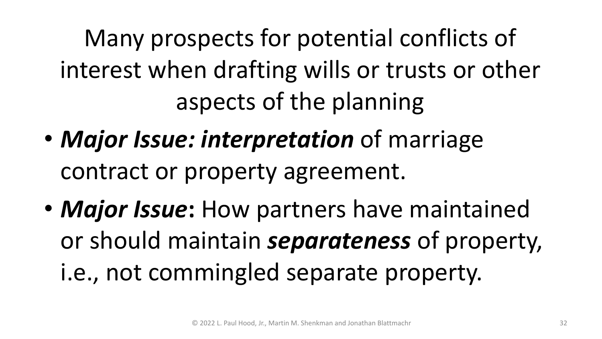Many prospects for potential conflicts of interest when drafting wills or trusts or other aspects of the planning

- *Major Issue: interpretation* of marriage contract or property agreement.
- *Major Issue***:** How partners have maintained or should maintain *separateness* of property, i.e., not commingled separate property.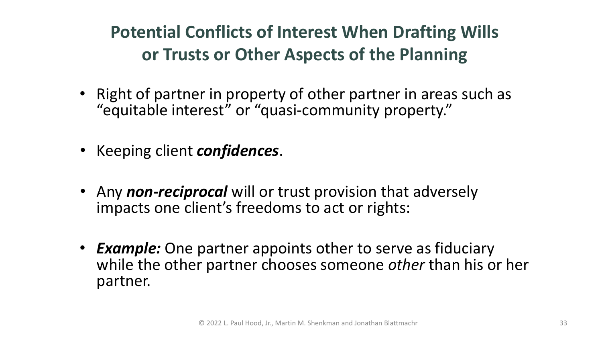### **Potential Conflicts of Interest When Drafting Wills or Trusts or Other Aspects of the Planning**

- Right of partner in property of other partner in areas such as "equitable interest" or "quasi-community property."
- Keeping client *confidences*.
- Any *non-reciprocal* will or trust provision that adversely impacts one client's freedoms to act or rights:
- *Example:* One partner appoints other to serve as fiduciary while the other partner chooses someone *other* than his or her partner.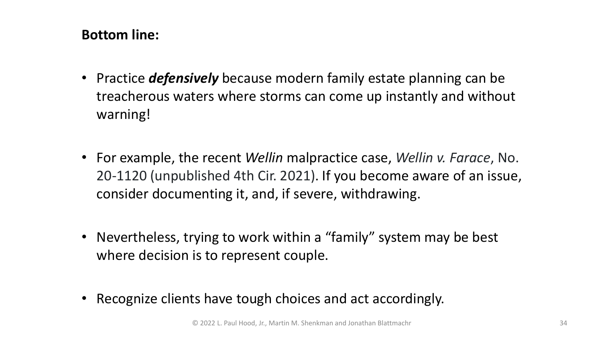#### **Bottom line:**

- Practice *defensively* because modern family estate planning can be treacherous waters where storms can come up instantly and without warning!
- For example, the recent *Wellin* malpractice case, *Wellin v. Farace*, No. 20-1120 (unpublished 4th Cir. 2021). If you become aware of an issue, consider documenting it, and, if severe, withdrawing.
- Nevertheless, trying to work within a "family" system may be best where decision is to represent couple.
- Recognize clients have tough choices and act accordingly.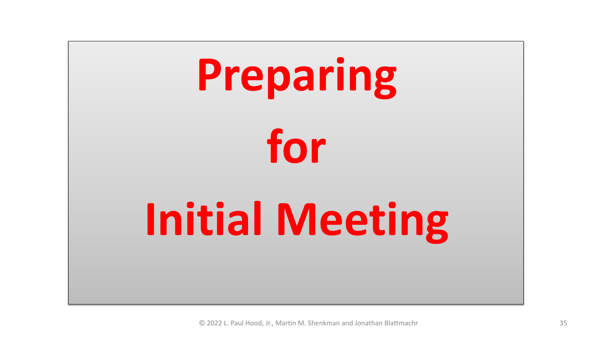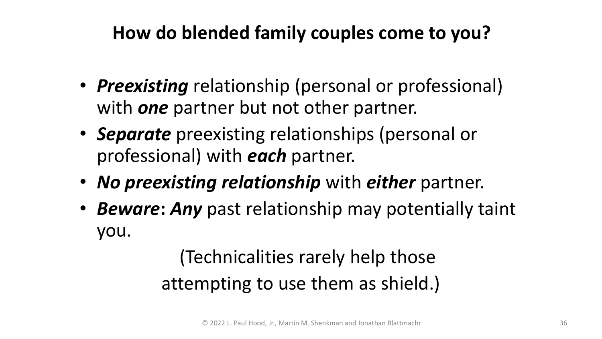### **How do blended family couples come to you?**

- *Preexisting* relationship (personal or professional) with *one* partner but not other partner.
- *Separate* preexisting relationships (personal or professional) with *each* partner.
- *No preexisting relationship* with *either* partner.
- *Beware***:** *Any* past relationship may potentially taint you.

(Technicalities rarely help those attempting to use them as shield.)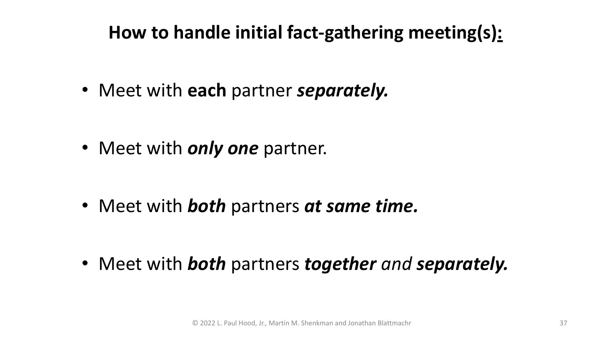#### **How to handle initial fact-gathering meeting(s):**

• Meet with **each** partner *separately.*

• Meet with *only one* partner.

• Meet with *both* partners *at same time.*

• Meet with *both* partners *together and separately.*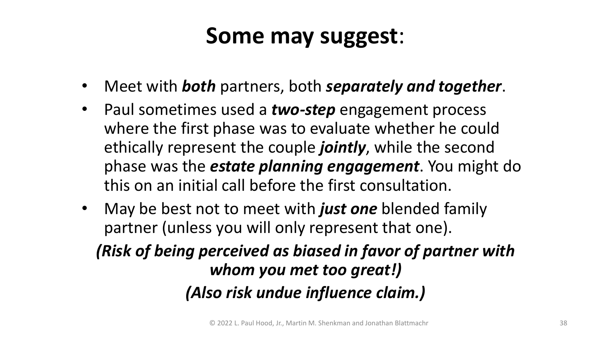#### **Some may suggest**:

- Meet with *both* partners, both *separately and together*.
- Paul sometimes used a *two-step* engagement process where the first phase was to evaluate whether he could ethically represent the couple *jointly*, while the second phase was the *estate planning engagement*. You might do this on an initial call before the first consultation.
- May be best not to meet with *just one* blended family partner (unless you will only represent that one).

*(Risk of being perceived as biased in favor of partner with whom you met too great!) (Also risk undue influence claim.)*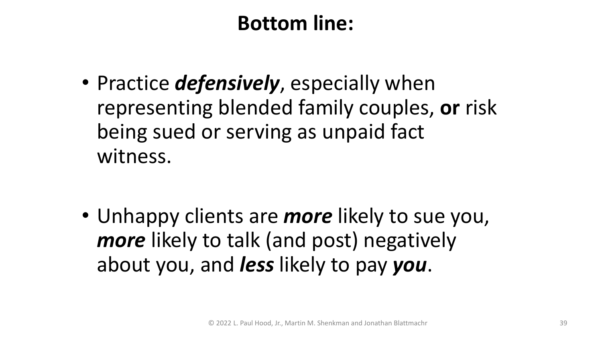#### **Bottom line:**

• Practice *defensively*, especially when representing blended family couples, **or** risk being sued or serving as unpaid fact witness.

• Unhappy clients are *more* likely to sue you, *more* likely to talk (and post) negatively about you, and *less* likely to pay *you*.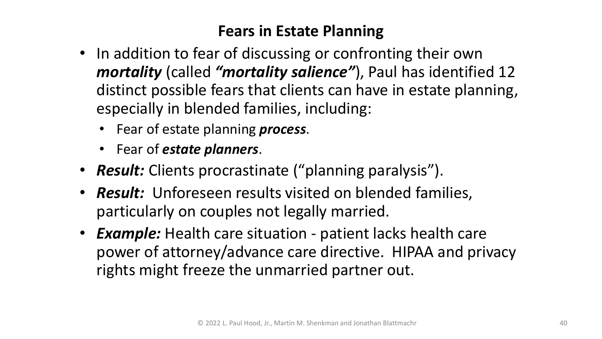#### **Fears in Estate Planning**

- In addition to fear of discussing or confronting their own *mortality* (called *"mortality salience"*), Paul has identified 12 distinct possible fears that clients can have in estate planning, especially in blended families, including:
	- Fear of estate planning *process*.
	- Fear of *estate planners*.
- *Result:* Clients procrastinate ("planning paralysis").
- *Result:* Unforeseen results visited on blended families, particularly on couples not legally married.
- *Example:* Health care situation patient lacks health care power of attorney/advance care directive. HIPAA and privacy rights might freeze the unmarried partner out.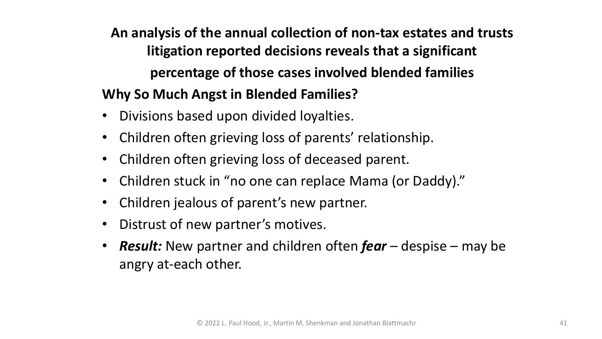**An analysis of the annual collection of non-tax estates and trusts litigation reported decisions reveals that a significant percentage of those cases involved blended families Why So Much Angst in Blended Families?**

- Divisions based upon divided loyalties.
- Children often grieving loss of parents' relationship.
- Children often grieving loss of deceased parent.
- Children stuck in "no one can replace Mama (or Daddy)."
- Children jealous of parent's new partner.
- Distrust of new partner's motives.
- *Result:* New partner and children often *fear* despise may be angry at-each other.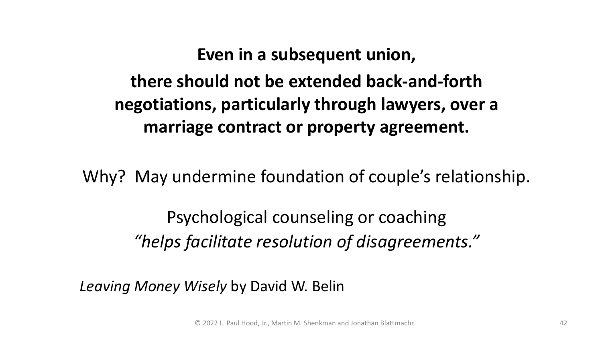#### **Even in a subsequent union,**

**there should not be extended back-and-forth negotiations, particularly through lawyers, over a marriage contract or property agreement.** 

Why? May undermine foundation of couple's relationship.

Psychological counseling or coaching *"helps facilitate resolution of disagreements."*

*Leaving Money Wisely* by David W. Belin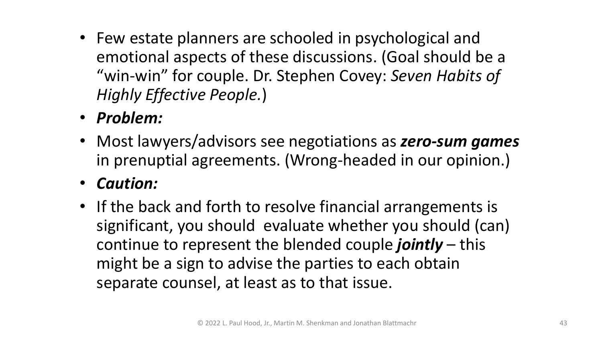- Few estate planners are schooled in psychological and emotional aspects of these discussions. (Goal should be a "win-win" for couple. Dr. Stephen Covey: *Seven Habits of Highly Effective People.*)
- *Problem:*
- Most lawyers/advisors see negotiations as *zero-sum games*  in prenuptial agreements. (Wrong-headed in our opinion.)
- *Caution:*
- If the back and forth to resolve financial arrangements is significant, you should evaluate whether you should (can) continue to represent the blended couple *jointly* – this might be a sign to advise the parties to each obtain separate counsel, at least as to that issue.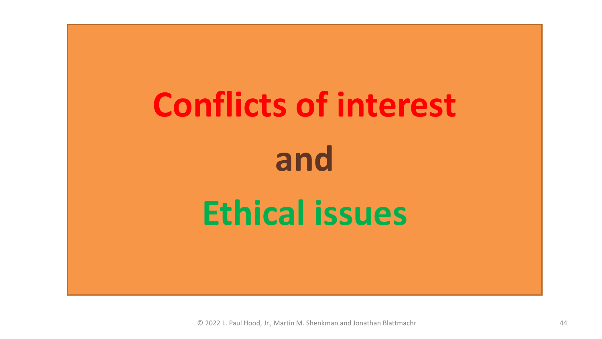# **Conflicts of interest and Ethical issues**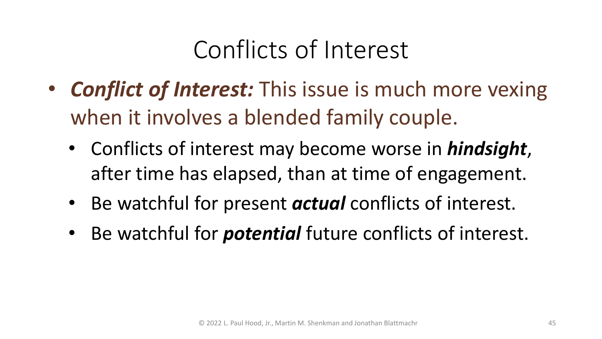### Conflicts of Interest

- *Conflict of Interest:* This issue is much more vexing when it involves a blended family couple.
	- Conflicts of interest may become worse in *hindsight*, after time has elapsed, than at time of engagement.
	- Be watchful for present *actual* conflicts of interest.
	- Be watchful for *potential* future conflicts of interest.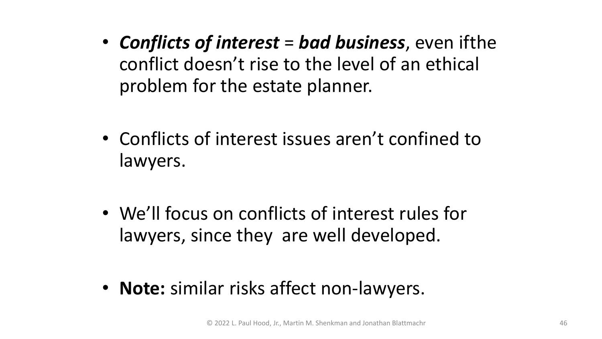- *Conflicts of interest* = *bad business*, even ifthe conflict doesn't rise to the level of an ethical problem for the estate planner.
- Conflicts of interest issues aren't confined to lawyers.
- We'll focus on conflicts of interest rules for lawyers, since they are well developed.
- **Note:** similar risks affect non-lawyers.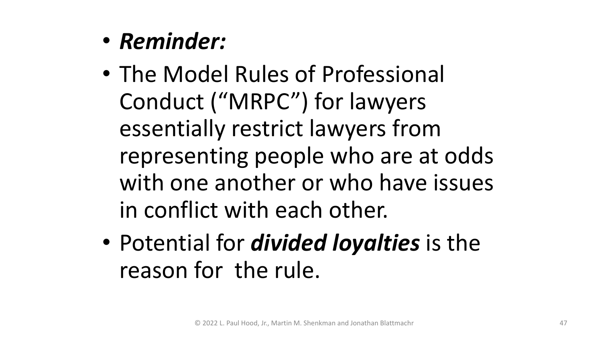- *Reminder:*
- The Model Rules of Professional Conduct ("MRPC") for lawyers essentially restrict lawyers from representing people who are at odds with one another or who have issues in conflict with each other.
- Potential for *divided loyalties* is the reason for the rule.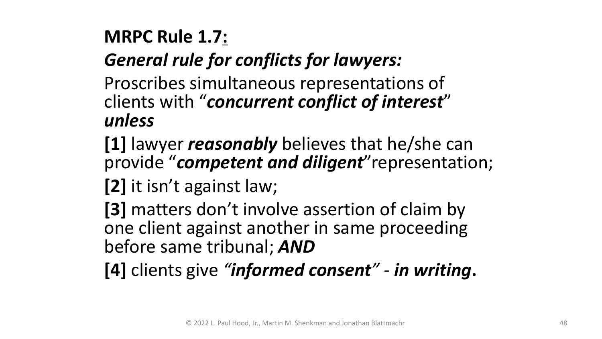### **MRPC Rule 1.7:**

#### *General rule for conflicts for lawyers:*

Proscribes simultaneous representations of clients with "*concurrent conflict of interest*" *unless*

- **[1]** lawyer *reasonably* believes that he/she can provide "*competent and diligent*"representation;
- **[2]** it isn't against law;
- **[3]** matters don't involve assertion of claim by one client against another in same proceeding before same tribunal; *AND*
- **[4]** clients give *"informed consent" - in writing***.**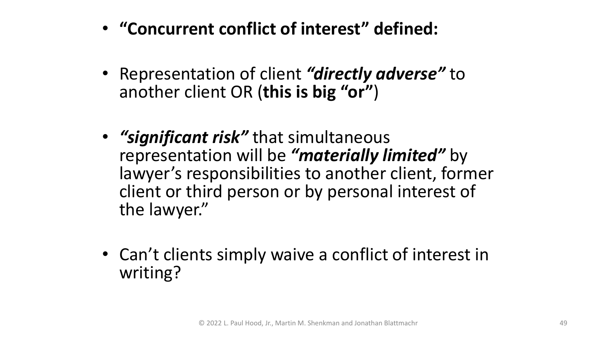- **"Concurrent conflict of interest" defined:**
- Representation of client *"directly adverse"* to another client OR (**this is big "or"**)
- *"significant risk"* that simultaneous representation will be *"materially limited"* by lawyer's responsibilities to another client, former client or third person or by personal interest of the lawyer."
- Can't clients simply waive a conflict of interest in writing?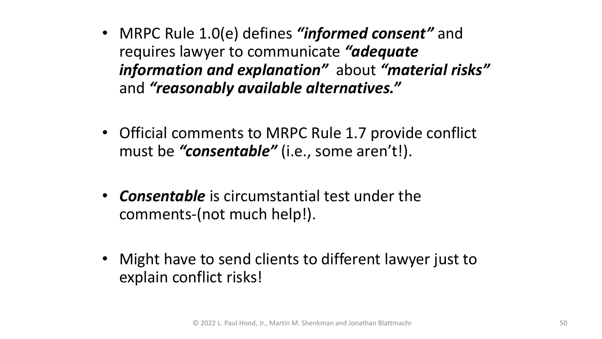- MRPC Rule 1.0(e) defines *"informed consent"* and requires lawyer to communicate *"adequate information and explanation"* about *"material risks"*  and *"reasonably available alternatives."*
- Official comments to MRPC Rule 1.7 provide conflict must be *"consentable"* (i.e., some aren't!).
- *Consentable* is circumstantial test under the comments-(not much help!).
- Might have to send clients to different lawyer just to explain conflict risks!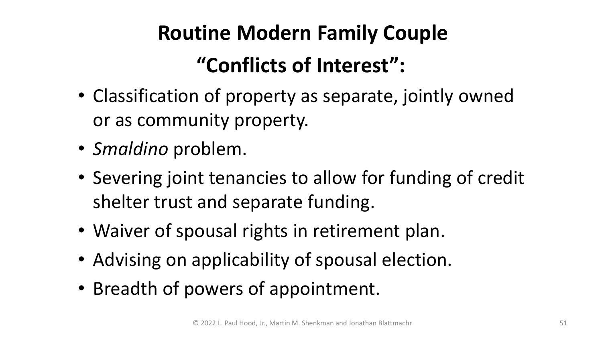## **Routine Modern Family Couple "Conflicts of Interest":**

- Classification of property as separate, jointly owned or as community property.
- *Smaldino* problem.
- Severing joint tenancies to allow for funding of credit shelter trust and separate funding.
- Waiver of spousal rights in retirement plan.
- Advising on applicability of spousal election.
- Breadth of powers of appointment.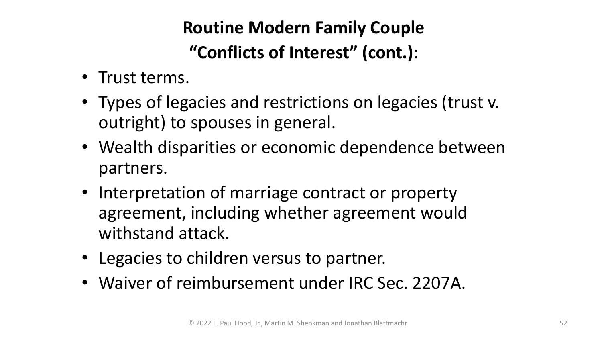#### **Routine Modern Family Couple "Conflicts of Interest" (cont.)**:

- Trust terms.
- Types of legacies and restrictions on legacies (trust v. outright) to spouses in general.
- Wealth disparities or economic dependence between partners.
- Interpretation of marriage contract or property agreement, including whether agreement would withstand attack.
- Legacies to children versus to partner.
- Waiver of reimbursement under IRC Sec. 2207A.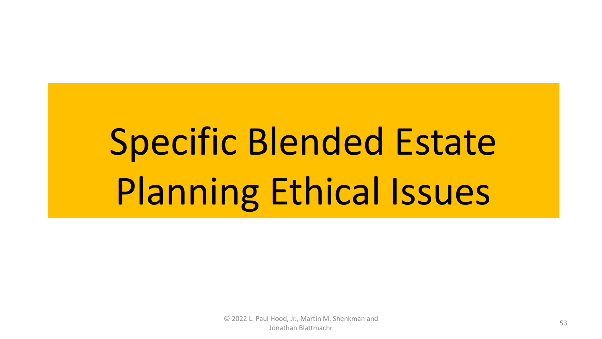# Specific Blended Estate Planning Ethical Issues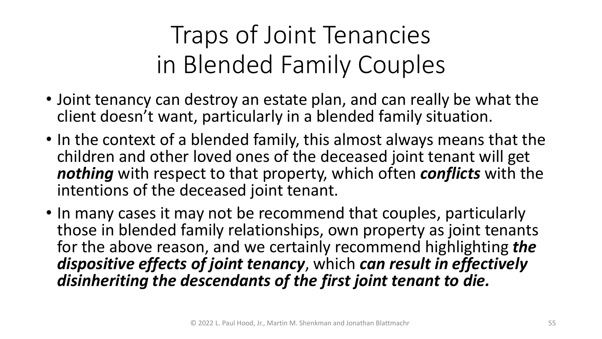- Joint tenancy can destroy an estate plan, and can really be what the client doesn't want, particularly in a blended family situation.
- In the context of a blended family, this almost always means that the children and other loved ones of the deceased joint tenant will get *nothing* with respect to that property, which often *conflicts* with the intentions of the deceased joint tenant.
- In many cases it may not be recommend that couples, particularly those in blended family relationships, own property as joint tenants for the above reason, and we certainly recommend highlighting *the dispositive effects of joint tenancy*, which *can result in effectively disinheriting the descendants of the first joint tenant to die.*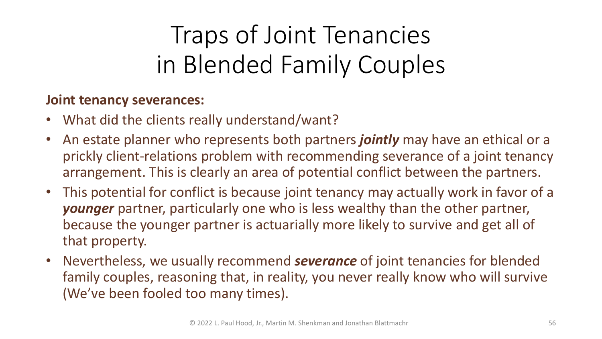- What did the clients really understand/want?
- An estate planner who represents both partners *jointly* may have an ethical or a prickly client-relations problem with recommending severance of a joint tenancy arrangement. This is clearly an area of potential conflict between the partners.
- This potential for conflict is because joint tenancy may actually work in favor of a *younger* partner, particularly one who is less wealthy than the other partner, because the younger partner is actuarially more likely to survive and get all of that property.
- Nevertheless, we usually recommend *severance* of joint tenancies for blended family couples, reasoning that, in reality, you never really know who will survive (We've been fooled too many times).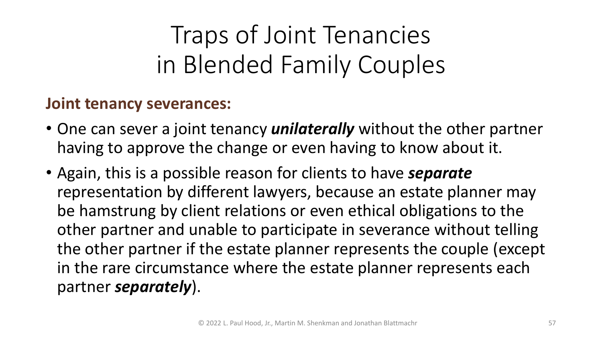- One can sever a joint tenancy *unilaterally* without the other partner having to approve the change or even having to know about it.
- Again, this is a possible reason for clients to have *separate* representation by different lawyers, because an estate planner may be hamstrung by client relations or even ethical obligations to the other partner and unable to participate in severance without telling the other partner if the estate planner represents the couple (except in the rare circumstance where the estate planner represents each partner *separately*).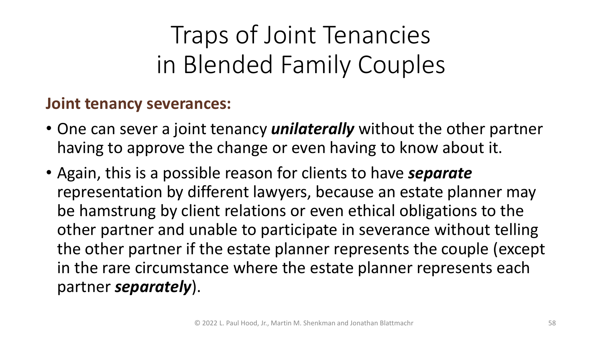- One can sever a joint tenancy *unilaterally* without the other partner having to approve the change or even having to know about it.
- Again, this is a possible reason for clients to have *separate* representation by different lawyers, because an estate planner may be hamstrung by client relations or even ethical obligations to the other partner and unable to participate in severance without telling the other partner if the estate planner represents the couple (except in the rare circumstance where the estate planner represents each partner *separately*).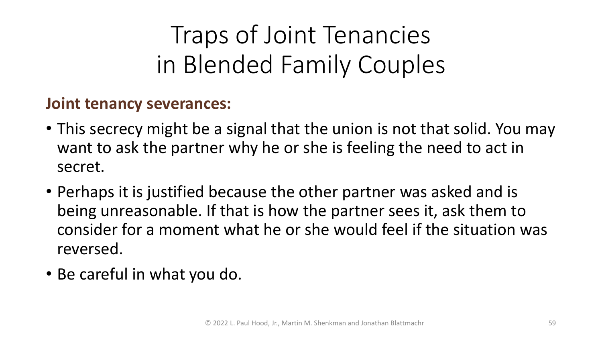- This secrecy might be a signal that the union is not that solid. You may want to ask the partner why he or she is feeling the need to act in secret.
- Perhaps it is justified because the other partner was asked and is being unreasonable. If that is how the partner sees it, ask them to consider for a moment what he or she would feel if the situation was reversed.
- Be careful in what you do.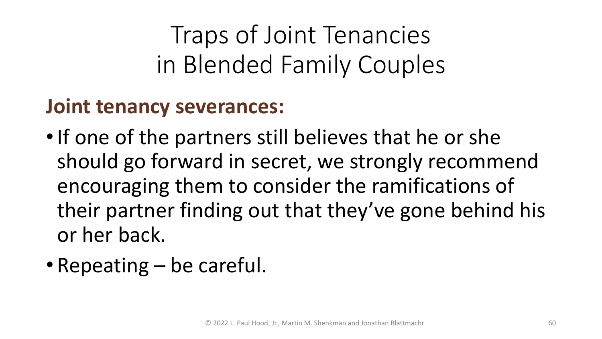- If one of the partners still believes that he or she should go forward in secret, we strongly recommend encouraging them to consider the ramifications of their partner finding out that they've gone behind his or her back.
- Repeating be careful.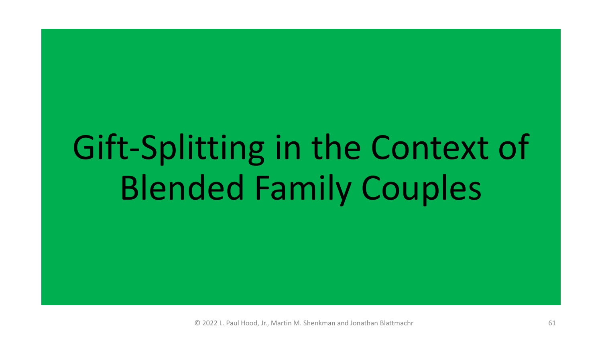# Gift-Splitting in the Context of Blended Family Couples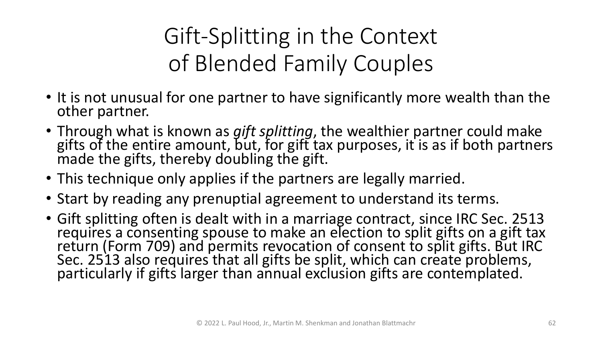### Gift-Splitting in the Context of Blended Family Couples

- It is not unusual for one partner to have significantly more wealth than the other partner.
- Through what is known as *gift splitting*, the wealthier partner could make gifts of the entire amount, but, for gift tax purposes, it is as if both partners made the gifts, thereby doubling the gift.
- This technique only applies if the partners are legally married.
- Start by reading any prenuptial agreement to understand its terms.
- Gift splitting often is dealt with in a marriage contract, since IRC Sec. 2513 requires a consenting spouse to make an election to split gifts on a gift tax return (Form 709) and permits revocation of consent to split gifts. But IRC Sec. 2513 also requires that all gifts be split, which can create problems, particularly if gifts larger than annual exclusion gifts are contemplated.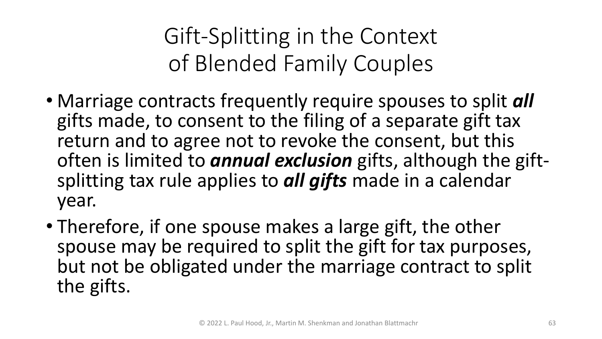Gift-Splitting in the Context of Blended Family Couples

- Marriage contracts frequently require spouses to split *all*  gifts made, to consent to the filing of a separate gift tax return and to agree not to revoke the consent, but this often is limited to *annual exclusion* gifts, although the gift- splitting tax rule applies to *all gifts* made in a calendar year.
- Therefore, if one spouse makes a large gift, the other spouse may be required to split the gift for tax purposes, but not be obligated under the marriage contract to split the gifts.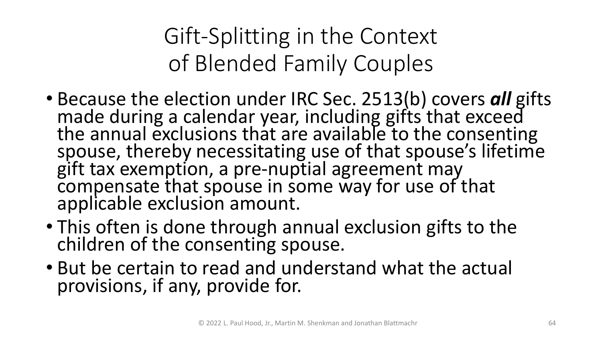Gift-Splitting in the Context of Blended Family Couples

- Because the election under IRC Sec. 2513(b) covers *all* gifts made during a calendar year, including gifts that exceed the annual exclusions that are available to the consenting spouse, thereby necessitating use of that spouse's lifetime gift tax exemption, a pre-nuptial agreement may compensate that spouse in some way for use of that applicable exclusion amount.
- This often is done through annual exclusion gifts to the children of the consenting spouse.
- But be certain to read and understand what the actual provisions, if any, provide for.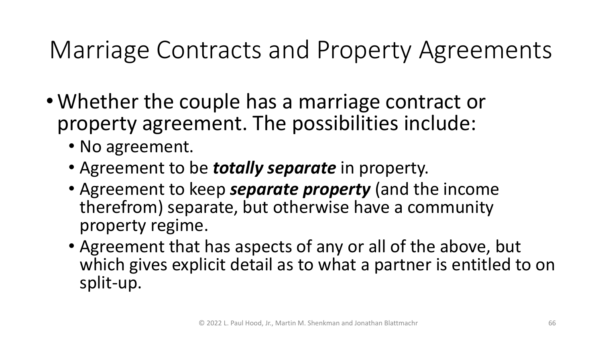- Whether the couple has a marriage contract or property agreement. The possibilities include:
	- No agreement.
	- Agreement to be *totally separate* in property.
	- Agreement to keep *separate property* (and the income therefrom) separate, but otherwise have a community property regime.
	- Agreement that has aspects of any or all of the above, but which gives explicit detail as to what a partner is entitled to on split-up.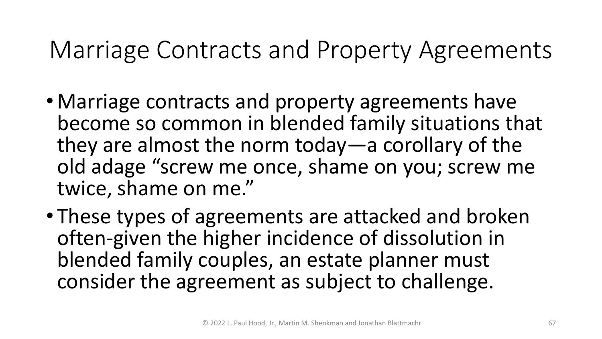- Marriage contracts and property agreements have become so common in blended family situations that they are almost the norm today—a corollary of the old adage "screw me once, shame on you; screw me twice, shame on me."
- These types of agreements are attacked and broken often-given the higher incidence of dissolution in blended family couples, an estate planner must consider the agreement as subject to challenge.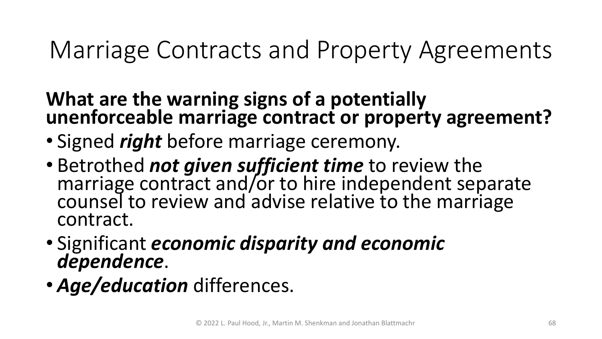#### **What are the warning signs of a potentially unenforceable marriage contract or property agreement?**

- Signed *right* before marriage ceremony.
- Betrothed *not given sufficient time* to review the marriage contract and/or to hire independent separate counsel to review and advise relative to the marriage contract.
- Significant *economic disparity and economic dependence*.
- *Age/education* differences.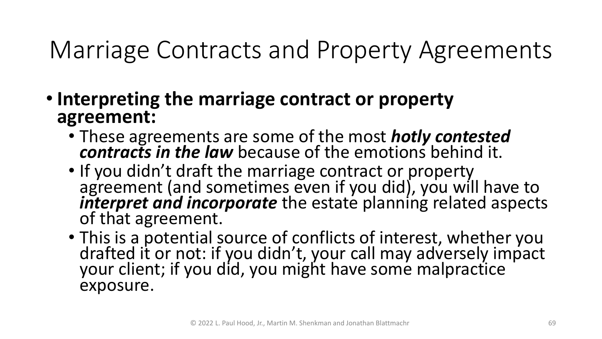- **Interpreting the marriage contract or property agreement:**
	- These agreements are some of the most *hotly contested contracts in the law* because of the emotions behind it.
	- If you didn't draft the marriage contract or property agreement (and sometimes even if you did), you will have to *interpret and incorporate* the estate planning related aspects<br>of that agreement.
	- This is a potential source of conflicts of interest, whether you drafted it or not: if you didn't, your call may adversely impact your client; if you did, you might have some malpractice exposure.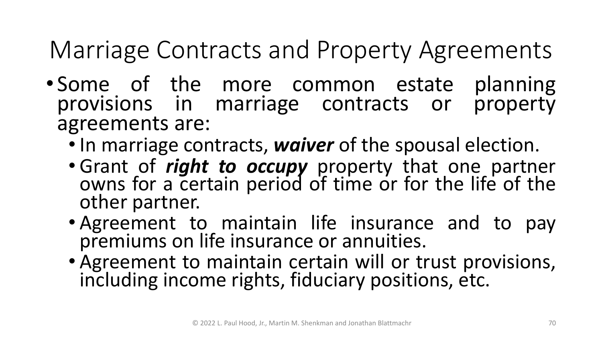- Some of the more common estate planning provisions in marriage contracts or property agreements are:
	-
	- In marriage contracts, *waiver* of the spousal election. Grant of *right to occupy* property that one partner owns for a certain period of time or for the life of the
	- other partner.<br>• Agreement to maintain life insurance and to pay<br>premiums on life insurance or annuities.
	- Agreement to maintain certain will or trust provisions, including income rights, fiduciary positions, etc.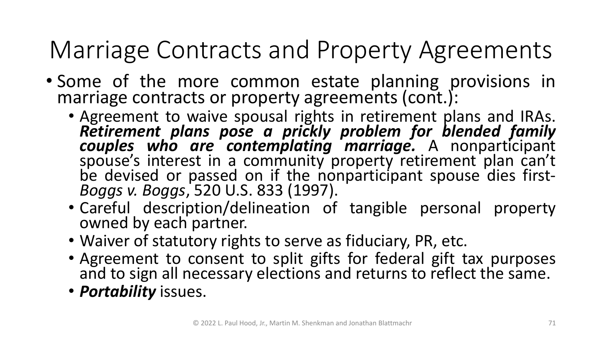- Some of the more common estate planning provisions in
	- marriage contracts or property agreements (cont.):<br>• Agreement to waive spousal rights in retirement plans and IRAs.<br>**Retirement plans pose a prickly problem for blended family** • Agreement to waive spousal rights in retirement plans and IRAs.<br> **Retirement plans pose a prickly problem for blended family<br>
	couples who are contemplating marriage.** A nonparticipant<br>
	spouse's interest in a community pr be devised or passed on if the nonparticipant spouse dies first-<br>*Boggs v. Boggs,* 520 U.S. 833 (1997).
		- Careful description/delineation of tangible personal property owned by each partner.
		-
		- Waiver of statutory rights to serve as fiduciary, PR, etc.<br>• Agreement to consent to split gifts for federal gift tax purposes and to sign all necessary elections and returns to reflect the same.
		- *Portability* issues.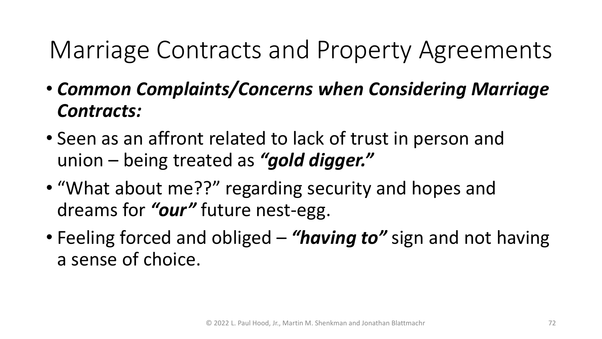- *Common Complaints/Concerns when Considering Marriage Contracts:*
- Seen as an affront related to lack of trust in person and union – being treated as *"gold digger."*
- "What about me??" regarding security and hopes and dreams for *"our"* future nest-egg.
- Feeling forced and obliged *"having to"* sign and not having a sense of choice.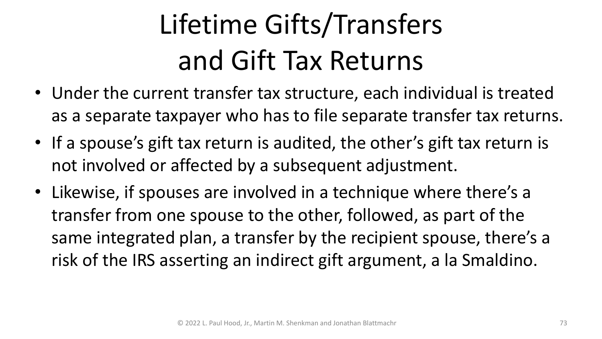### Lifetime Gifts/Transfers and Gift Tax Returns

- Under the current transfer tax structure, each individual is treated as a separate taxpayer who has to file separate transfer tax returns.
- If a spouse's gift tax return is audited, the other's gift tax return is not involved or affected by a subsequent adjustment.
- Likewise, if spouses are involved in a technique where there's a transfer from one spouse to the other, followed, as part of the same integrated plan, a transfer by the recipient spouse, there's a risk of the IRS asserting an indirect gift argument, a la Smaldino.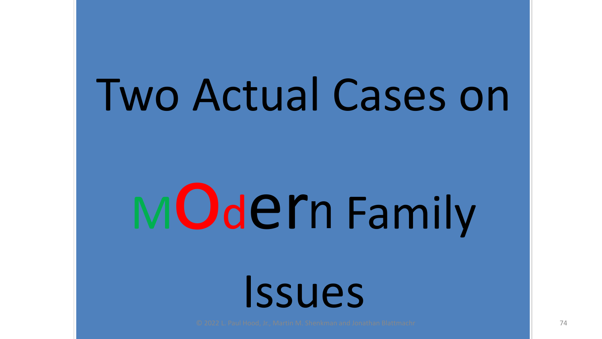# Two Actual Cases on

# MOdern Family

Issues

© 2022 L. Paul Hood, Jr., Martin M. Shenkman and Jonathan Blattmachr 74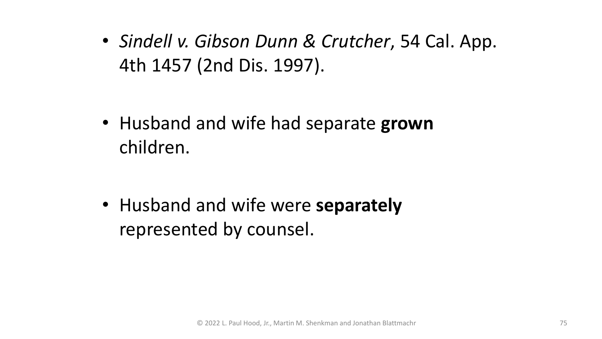• *Sindell v. Gibson Dunn & Crutcher*, 54 Cal. App. 4th 1457 (2nd Dis. 1997).

• Husband and wife had separate **grown** children.

• Husband and wife were **separately** represented by counsel.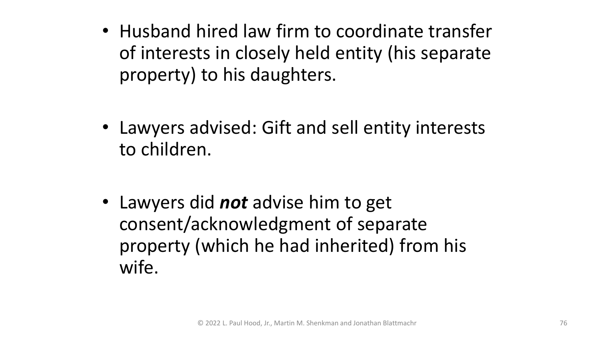- Husband hired law firm to coordinate transfer of interests in closely held entity (his separate property) to his daughters.
- Lawyers advised: Gift and sell entity interests to children.
- Lawyers did *not* advise him to get consent/acknowledgment of separate property (which he had inherited) from his wife.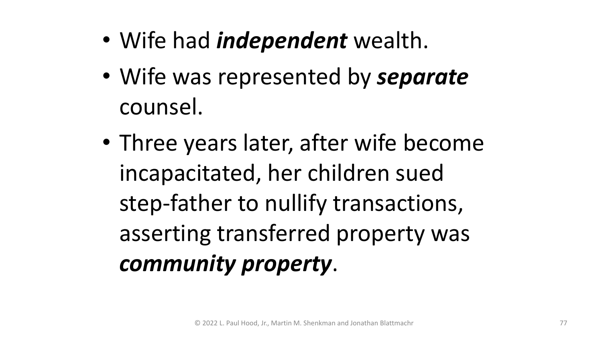- Wife had *independent* wealth.
- Wife was represented by *separate* counsel.
- Three years later, after wife become incapacitated, her children sued step-father to nullify transactions, asserting transferred property was *community property*.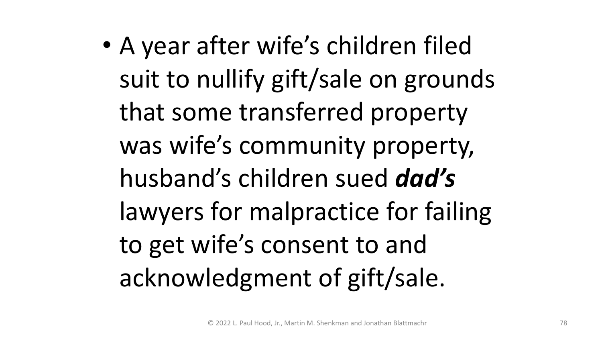• A year after wife's children filed suit to nullify gift/sale on grounds that some transferred property was wife's community property, husband's children sued *dad's* lawyers for malpractice for failing to get wife's consent to and acknowledgment of gift/sale.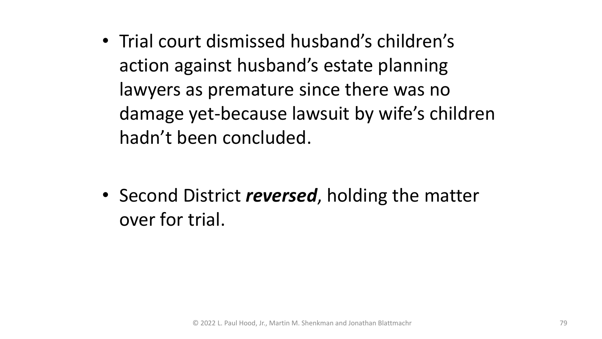• Trial court dismissed husband's children's action against husband's estate planning lawyers as premature since there was no damage yet-because lawsuit by wife's children hadn't been concluded.

• Second District *reversed*, holding the matter over for trial.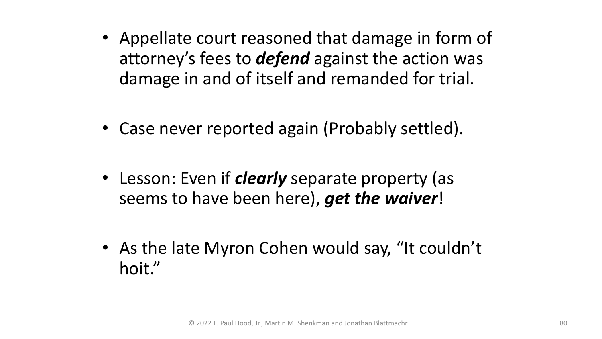- Appellate court reasoned that damage in form of attorney's fees to *defend* against the action was damage in and of itself and remanded for trial.
- Case never reported again (Probably settled).
- Lesson: Even if *clearly* separate property (as seems to have been here), *get the waiver*!
- As the late Myron Cohen would say, "It couldn't hoit."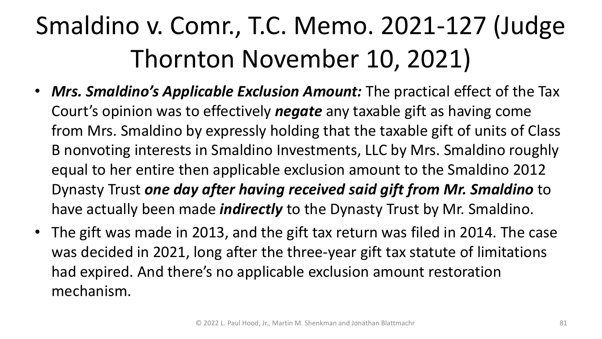- *Mrs. Smaldino's Applicable Exclusion Amount:* The practical effect of the Tax Court's opinion was to effectively *negate* any taxable gift as having come from Mrs. Smaldino by expressly holding that the taxable gift of units of Class B nonvoting interests in Smaldino Investments, LLC by Mrs. Smaldino roughly equal to her entire then applicable exclusion amount to the Smaldino 2012 Dynasty Trust *one day after having received said gift from Mr. Smaldino* to have actually been made *indirectly* to the Dynasty Trust by Mr. Smaldino.
- The gift was made in 2013, and the gift tax return was filed in 2014. The case was decided in 2021, long after the three-year gift tax statute of limitations had expired. And there's no applicable exclusion amount restoration mechanism.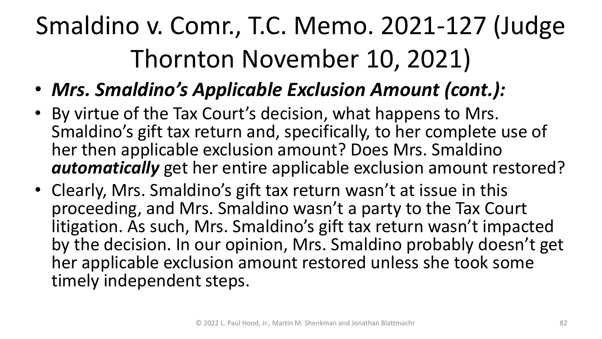- *Mrs. Smaldino's Applicable Exclusion Amount (cont.):*
- By virtue of the Tax Court's decision, what happens to Mrs. Smaldino's gift tax return and, specifically, to her complete use of her then applicable exclusion amount? Does Mrs. Smaldino *automatically* get her entire applicable exclusion amount restored?
- Clearly, Mrs. Smaldino's gift tax return wasn't at issue in this proceeding, and Mrs. Smaldino wasn't a party to the Tax Court litigation. As such, Mrs. Smaldino's gift tax return wasn't impacted by the decision. In our opinion, Mrs. Smaldino probably doesn't get her applicable exclusion amount restored unless she took some timely independent steps.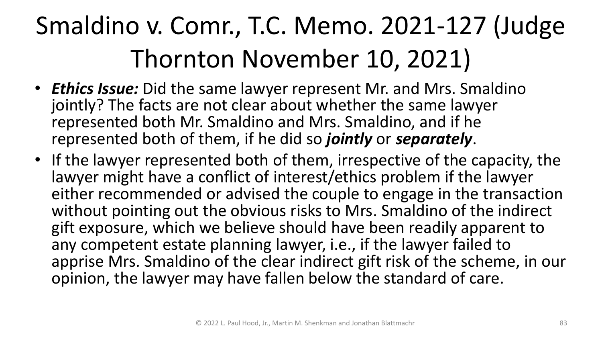- *Ethics Issue:* Did the same lawyer represent Mr. and Mrs. Smaldino jointly? The facts are not clear about whether the same lawyer represented both Mr. Smaldino and Mrs. Smaldino, and if he represented both of them, if he did so *jointly* or *separately*.
- If the lawyer represented both of them, irrespective of the capacity, the lawyer might have a conflict of interest/ethics problem if the lawyer either recommended or advised the couple to engage in the transaction without pointing out the obvious risks to Mrs. Smaldino of the indirect gift exposure, which we believe should have been readily apparent to any competent estate planning lawyer, i.e., if the lawyer failed to apprise Mrs. Smaldino of the clear indirect gift risk of the scheme, in our opinion, the lawyer may have fallen below the standard of care.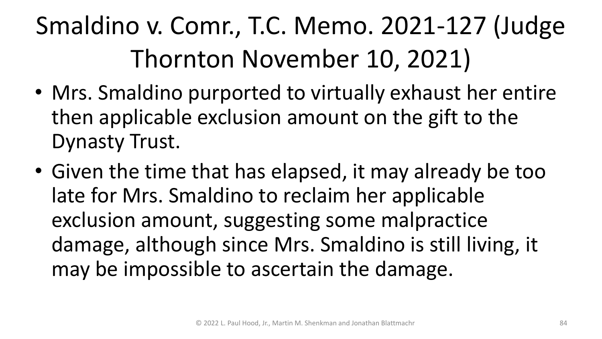- Mrs. Smaldino purported to virtually exhaust her entire then applicable exclusion amount on the gift to the Dynasty Trust.
- Given the time that has elapsed, it may already be too late for Mrs. Smaldino to reclaim her applicable exclusion amount, suggesting some malpractice damage, although since Mrs. Smaldino is still living, it may be impossible to ascertain the damage.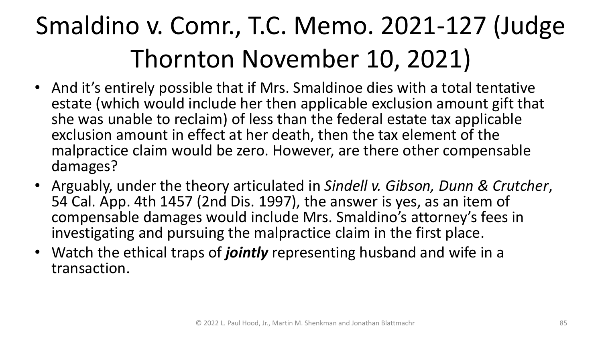- And it's entirely possible that if Mrs. Smaldinoe dies with a total tentative estate (which would include her then applicable exclusion amount gift that she was unable to reclaim) of less than the federal estate tax applicable exclusion amount in effect at her death, then the tax element of the malpractice claim would be zero. However, are there other compensable damages?
- Arguably, under the theory articulated in *Sindell v. Gibson, Dunn & Crutcher*, 54 Cal. App. 4th 1457 (2nd Dis. 1997), the answer is yes, as an item of compensable damages would include Mrs. Smaldino's attorney's fees in investigating and pursuing the malpractice claim in the first place.
- Watch the ethical traps of *jointly* representing husband and wife in a transaction.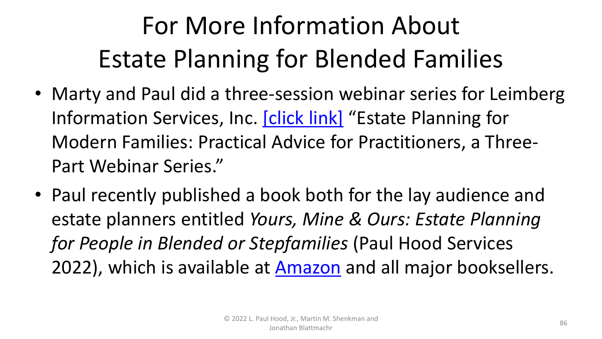#### For More Information About Estate Planning for Blended Families

- Marty and Paul did a three-session webinar series for Leimberg Information Services, Inc. [\[click link\]](https://leimbergservices.com/wdev/products.cfm?id=179) "Estate Planning for Modern Families: Practical Advice for Practitioners, a Three-Part Webinar Series."
- Paul recently published a book both for the lay audience and estate planners entitled *Yours, Mine & Ours: Estate Planning for People in Blended or Stepfamilies* (Paul Hood Services 2022), which is available at **[Amazon](https://www.amazon.com/Yours-Mine-Ours-Planning-Stepfamilies/dp/1647044669/ref=sr_1_2?crid=29U2CBPHHZJYB&keywords=yours%2C+mine+%26+ours+hood&qid=1651751794&sprefix=yours%2C+mine+%26+ours+hood%2Caps%2C103&sr=8-2)** and all major booksellers.